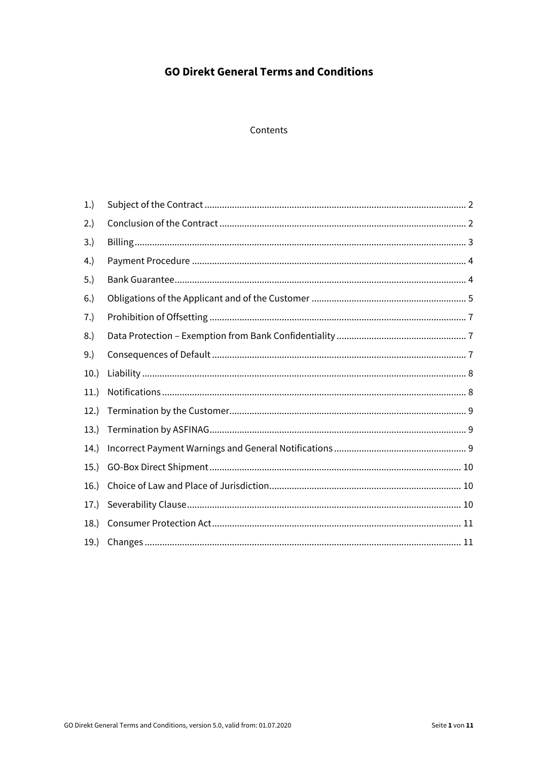# **GO Direkt General Terms and Conditions**

## Contents

| 1.)     |  |
|---------|--|
| 2.)     |  |
| 3.)     |  |
| 4.)     |  |
| 5.)     |  |
| 6.)     |  |
| 7.)     |  |
| 8.)     |  |
| 9.)     |  |
| $10.$ ) |  |
| 11.)    |  |
| 12.     |  |
| 13.)    |  |
| 14.)    |  |
| 15.)    |  |
| 16.     |  |
| 17.)    |  |
| 18.)    |  |
|         |  |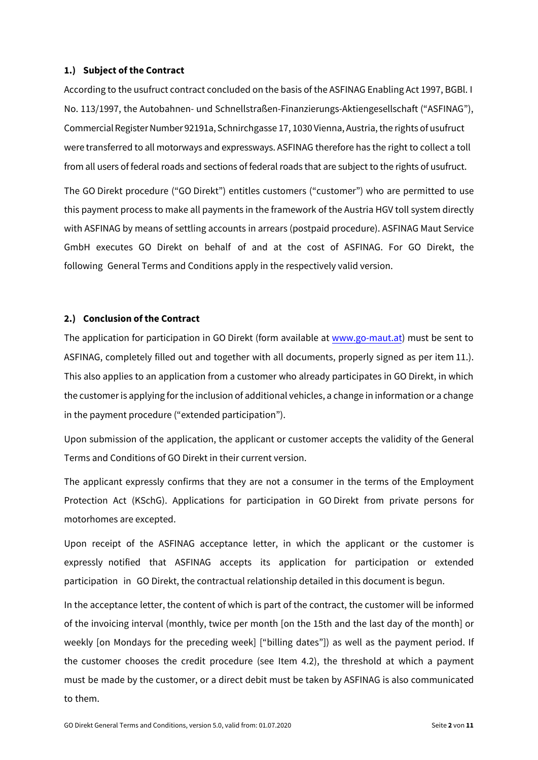## **1.) Subject of the Contract**

According to the usufruct contract concluded on the basis of the ASFINAG Enabling Act 1997, BGBl. I No. 113/1997, the Autobahnen- und Schnellstraßen-Finanzierungs-Aktiengesellschaft ("ASFINAG"), Commercial Register Number 92191a, Schnirchgasse 17, 1030 Vienna, Austria,the rights of usufruct were transferred to all motorways and expressways. ASFINAG therefore has the right to collect a toll from all users of federal roads and sections of federal roads that are subject to the rights of usufruct.

The GO Direkt procedure ("GO Direkt") entitles customers ("customer") who are permitted to use this payment process to make all payments in the framework of the Austria HGV toll system directly with ASFINAG by means of settling accounts in arrears (postpaid procedure). ASFINAG Maut Service GmbH executes GO Direkt on behalf of and at the cost of ASFINAG. For GO Direkt, the following General Terms and Conditions apply in the respectively valid version.

# **2.) Conclusion of the Contract**

The application for participation in GO Direkt (form available at www.go-maut.at) must be sent to ASFINAG, completely filled out and together with all documents, properly signed as per item 11.). This also applies to an application from a customer who already participates in GO Direkt, in which the customer is applying for the inclusion of additional vehicles, a change in information or a change in the payment procedure ("extended participation").

Upon submission of the application, the applicant or customer accepts the validity of the General Terms and Conditions of GO Direkt in their current version.

The applicant expressly confirms that they are not a consumer in the terms of the Employment Protection Act (KSchG). Applications for participation in GO Direkt from private persons for motorhomes are excepted.

Upon receipt of the ASFINAG acceptance letter, in which the applicant or the customer is expressly notified that ASFINAG accepts its application for participation or extended participation in GO Direkt, the contractual relationship detailed in this document is begun.

In the acceptance letter, the content of which is part of the contract, the customer will be informed of the invoicing interval (monthly, twice per month [on the 15th and the last day of the month] or weekly [on Mondays for the preceding week] ["billing dates"]) as well as the payment period. If the customer chooses the credit procedure (see Item 4.2), the threshold at which a payment must be made by the customer, or a direct debit must be taken by ASFINAG is also communicated to them.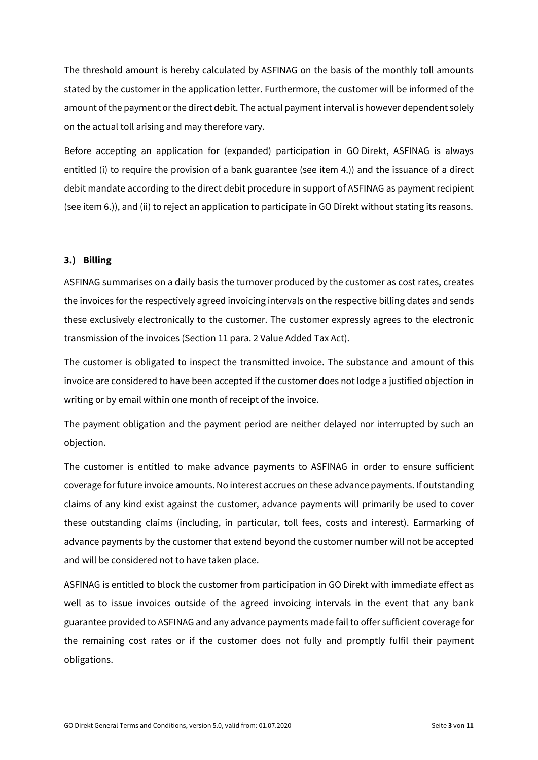The threshold amount is hereby calculated by ASFINAG on the basis of the monthly toll amounts stated by the customer in the application letter. Furthermore, the customer will be informed of the amount of the payment or the direct debit. The actual payment interval is however dependent solely on the actual toll arising and may therefore vary.

Before accepting an application for (expanded) participation in GO Direkt, ASFINAG is always entitled (i) to require the provision of a bank guarantee (see item 4.)) and the issuance of a direct debit mandate according to the direct debit procedure in support of ASFINAG as payment recipient (see item 6.)), and (ii) to reject an application to participate in GO Direkt without stating its reasons.

# **3.) Billing**

ASFINAG summarises on a daily basis the turnover produced by the customer as cost rates, creates the invoices for the respectively agreed invoicing intervals on the respective billing dates and sends these exclusively electronically to the customer. The customer expressly agrees to the electronic transmission of the invoices (Section 11 para. 2 Value Added Tax Act).

The customer is obligated to inspect the transmitted invoice. The substance and amount of this invoice are considered to have been accepted if the customer does not lodge a justified objection in writing or by email within one month of receipt of the invoice.

The payment obligation and the payment period are neither delayed nor interrupted by such an objection.

The customer is entitled to make advance payments to ASFINAG in order to ensure sufficient coverage for future invoice amounts. No interest accrues on these advance payments. If outstanding claims of any kind exist against the customer, advance payments will primarily be used to cover these outstanding claims (including, in particular, toll fees, costs and interest). Earmarking of advance payments by the customer that extend beyond the customer number will not be accepted and will be considered not to have taken place.

ASFINAG is entitled to block the customer from participation in GO Direkt with immediate effect as well as to issue invoices outside of the agreed invoicing intervals in the event that any bank guarantee provided to ASFINAG and any advance payments made fail to offer sufficient coverage for the remaining cost rates or if the customer does not fully and promptly fulfil their payment obligations.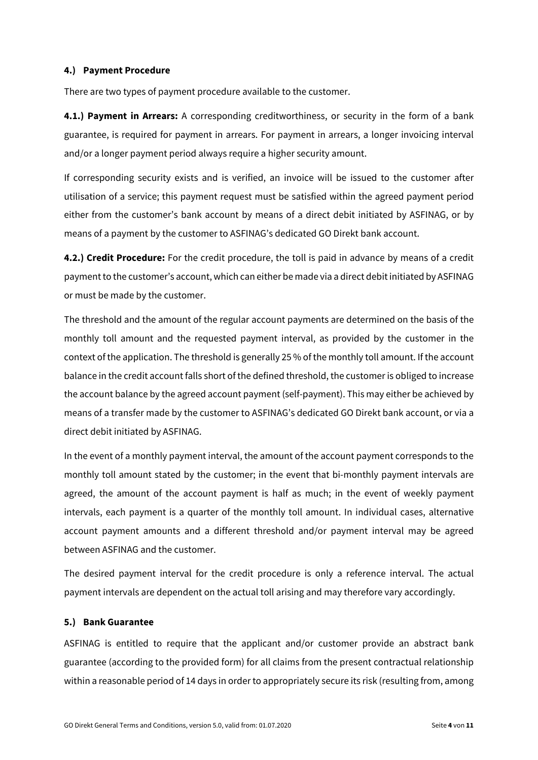#### **4.) Payment Procedure**

There are two types of payment procedure available to the customer.

**4.1.) Payment in Arrears:** A corresponding creditworthiness, or security in the form of a bank guarantee, is required for payment in arrears. For payment in arrears, a longer invoicing interval and/or a longer payment period always require a higher security amount.

If corresponding security exists and is verified, an invoice will be issued to the customer after utilisation of a service; this payment request must be satisfied within the agreed payment period either from the customer's bank account by means of a direct debit initiated by ASFINAG, or by means of a payment by the customer to ASFINAG's dedicated GO Direkt bank account.

**4.2.) Credit Procedure:** For the credit procedure, the toll is paid in advance by means of a credit payment to the customer's account, which can either be made via a direct debit initiated by ASFINAG or must be made by the customer.

The threshold and the amount of the regular account payments are determined on the basis of the monthly toll amount and the requested payment interval, as provided by the customer in the context of the application. The threshold is generally 25 % of the monthly toll amount. If the account balance in the credit account falls short of the defined threshold, the customer is obliged to increase the account balance by the agreed account payment (self-payment). This may either be achieved by means of a transfer made by the customer to ASFINAG's dedicated GO Direkt bank account, or via a direct debit initiated by ASFINAG.

In the event of a monthly payment interval, the amount of the account payment corresponds to the monthly toll amount stated by the customer; in the event that bi-monthly payment intervals are agreed, the amount of the account payment is half as much; in the event of weekly payment intervals, each payment is a quarter of the monthly toll amount. In individual cases, alternative account payment amounts and a different threshold and/or payment interval may be agreed between ASFINAG and the customer.

The desired payment interval for the credit procedure is only a reference interval. The actual payment intervals are dependent on the actual toll arising and may therefore vary accordingly.

#### **5.) Bank Guarantee**

ASFINAG is entitled to require that the applicant and/or customer provide an abstract bank guarantee (according to the provided form) for all claims from the present contractual relationship within a reasonable period of 14 days in order to appropriately secure its risk (resulting from, among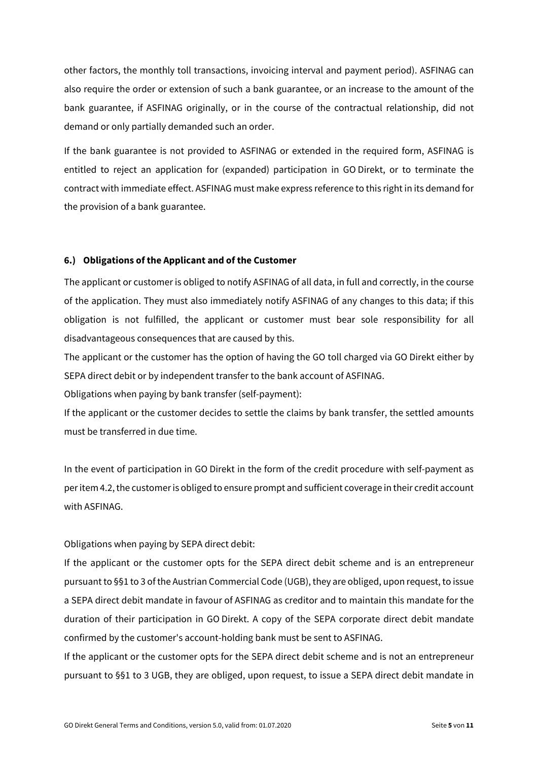other factors, the monthly toll transactions, invoicing interval and payment period). ASFINAG can also require the order or extension of such a bank guarantee, or an increase to the amount of the bank guarantee, if ASFINAG originally, or in the course of the contractual relationship, did not demand or only partially demanded such an order.

If the bank guarantee is not provided to ASFINAG or extended in the required form, ASFINAG is entitled to reject an application for (expanded) participation in GO Direkt, or to terminate the contract with immediate effect. ASFINAG must make express reference to this right in its demand for the provision of a bank guarantee.

# **6.) Obligations of the Applicant and of the Customer**

The applicant or customer is obliged to notify ASFINAG of all data, in full and correctly, in the course of the application. They must also immediately notify ASFINAG of any changes to this data; if this obligation is not fulfilled, the applicant or customer must bear sole responsibility for all disadvantageous consequences that are caused by this.

The applicant or the customer has the option of having the GO toll charged via GO Direkt either by SEPA direct debit or by independent transfer to the bank account of ASFINAG.

Obligations when paying by bank transfer (self-payment):

If the applicant or the customer decides to settle the claims by bank transfer, the settled amounts must be transferred in due time.

In the event of participation in GO Direkt in the form of the credit procedure with self-payment as per item 4.2, the customer is obliged to ensure prompt and sufficient coverage in their credit account with ASFINAG.

# Obligations when paying by SEPA direct debit:

If the applicant or the customer opts for the SEPA direct debit scheme and is an entrepreneur pursuant to §§1 to 3 of the Austrian Commercial Code (UGB), they are obliged, upon request, to issue a SEPA direct debit mandate in favour of ASFINAG as creditor and to maintain this mandate for the duration of their participation in GO Direkt. A copy of the SEPA corporate direct debit mandate confirmed by the customer's account-holding bank must be sent to ASFINAG.

If the applicant or the customer opts for the SEPA direct debit scheme and is not an entrepreneur pursuant to §§1 to 3 UGB, they are obliged, upon request, to issue a SEPA direct debit mandate in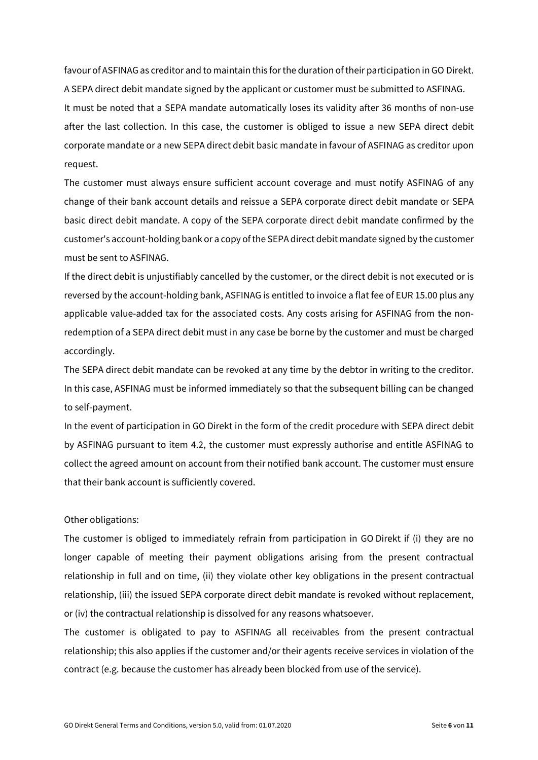favour of ASFINAG as creditor and to maintain this for the duration of their participation in GO Direkt. A SEPA direct debit mandate signed by the applicant or customer must be submitted to ASFINAG.

It must be noted that a SEPA mandate automatically loses its validity after 36 months of non-use after the last collection. In this case, the customer is obliged to issue a new SEPA direct debit corporate mandate or a new SEPA direct debit basic mandate in favour of ASFINAG as creditor upon request.

The customer must always ensure sufficient account coverage and must notify ASFINAG of any change of their bank account details and reissue a SEPA corporate direct debit mandate or SEPA basic direct debit mandate. A copy of the SEPA corporate direct debit mandate confirmed by the customer's account-holding bank or a copy of the SEPA direct debit mandate signed by the customer must be sent to ASFINAG.

If the direct debit is unjustifiably cancelled by the customer, or the direct debit is not executed or is reversed by the account-holding bank, ASFINAG is entitled to invoice a flat fee of EUR 15.00 plus any applicable value-added tax for the associated costs. Any costs arising for ASFINAG from the nonredemption of a SEPA direct debit must in any case be borne by the customer and must be charged accordingly.

The SEPA direct debit mandate can be revoked at any time by the debtor in writing to the creditor. In this case, ASFINAG must be informed immediately so that the subsequent billing can be changed to self-payment.

In the event of participation in GO Direkt in the form of the credit procedure with SEPA direct debit by ASFINAG pursuant to item 4.2, the customer must expressly authorise and entitle ASFINAG to collect the agreed amount on account from their notified bank account. The customer must ensure that their bank account is sufficiently covered.

#### Other obligations:

The customer is obliged to immediately refrain from participation in GO Direkt if (i) they are no longer capable of meeting their payment obligations arising from the present contractual relationship in full and on time, (ii) they violate other key obligations in the present contractual relationship, (iii) the issued SEPA corporate direct debit mandate is revoked without replacement, or (iv) the contractual relationship is dissolved for any reasons whatsoever.

The customer is obligated to pay to ASFINAG all receivables from the present contractual relationship; this also applies if the customer and/or their agents receive services in violation of the contract (e.g. because the customer has already been blocked from use of the service).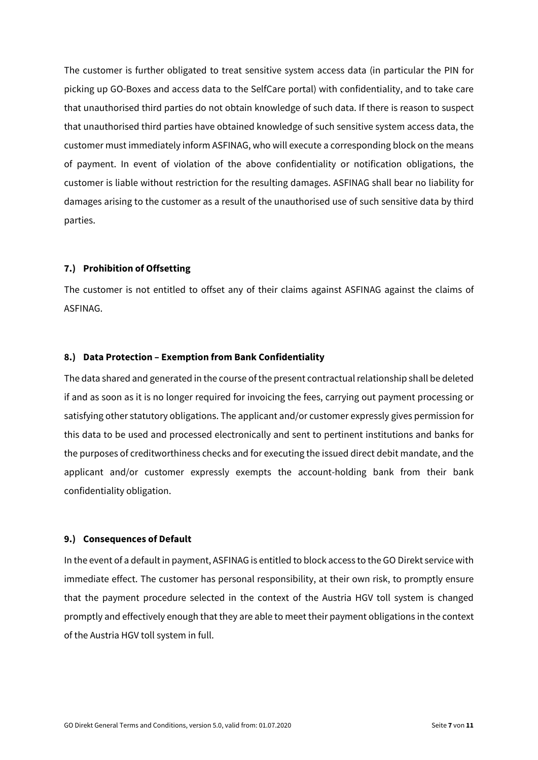The customer is further obligated to treat sensitive system access data (in particular the PIN for picking up GO-Boxes and access data to the SelfCare portal) with confidentiality, and to take care that unauthorised third parties do not obtain knowledge of such data. If there is reason to suspect that unauthorised third parties have obtained knowledge of such sensitive system access data, the customer must immediately inform ASFINAG, who will execute a corresponding block on the means of payment. In event of violation of the above confidentiality or notification obligations, the customer is liable without restriction for the resulting damages. ASFINAG shall bear no liability for damages arising to the customer as a result of the unauthorised use of such sensitive data by third parties.

## **7.) Prohibition of Offsetting**

The customer is not entitled to offset any of their claims against ASFINAG against the claims of ASFINAG.

## **8.) Data Protection – Exemption from Bank Confidentiality**

The data shared and generated in the course of the present contractual relationship shall be deleted if and as soon as it is no longer required for invoicing the fees, carrying out payment processing or satisfying other statutory obligations. The applicant and/or customer expressly gives permission for this data to be used and processed electronically and sent to pertinent institutions and banks for the purposes of creditworthiness checks and for executing the issued direct debit mandate, and the applicant and/or customer expressly exempts the account-holding bank from their bank confidentiality obligation.

## **9.) Consequences of Default**

In the event of a default in payment, ASFINAG is entitled to block access to the GO Direkt service with immediate effect. The customer has personal responsibility, at their own risk, to promptly ensure that the payment procedure selected in the context of the Austria HGV toll system is changed promptly and effectively enough that they are able to meet their payment obligations in the context of the Austria HGV toll system in full.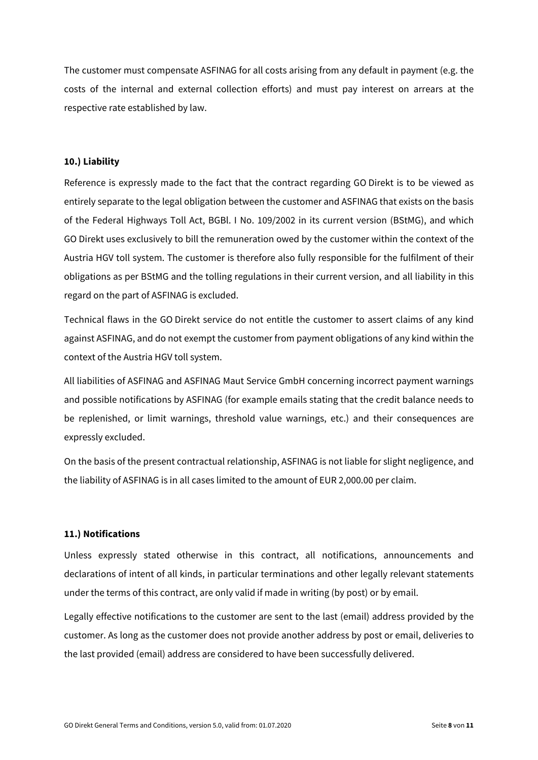The customer must compensate ASFINAG for all costs arising from any default in payment (e.g. the costs of the internal and external collection efforts) and must pay interest on arrears at the respective rate established by law.

## **10.) Liability**

Reference is expressly made to the fact that the contract regarding GO Direkt is to be viewed as entirely separate to the legal obligation between the customer and ASFINAG that exists on the basis of the Federal Highways Toll Act, BGBl. I No. 109/2002 in its current version (BStMG), and which GO Direkt uses exclusively to bill the remuneration owed by the customer within the context of the Austria HGV toll system. The customer is therefore also fully responsible for the fulfilment of their obligations as per BStMG and the tolling regulations in their current version, and all liability in this regard on the part of ASFINAG is excluded.

Technical flaws in the GO Direkt service do not entitle the customer to assert claims of any kind against ASFINAG, and do not exempt the customer from payment obligations of any kind within the context of the Austria HGV toll system.

All liabilities of ASFINAG and ASFINAG Maut Service GmbH concerning incorrect payment warnings and possible notifications by ASFINAG (for example emails stating that the credit balance needs to be replenished, or limit warnings, threshold value warnings, etc.) and their consequences are expressly excluded.

On the basis of the present contractual relationship, ASFINAG is not liable for slight negligence, and the liability of ASFINAG is in all cases limited to the amount of EUR 2,000.00 per claim.

## **11.) Notifications**

Unless expressly stated otherwise in this contract, all notifications, announcements and declarations of intent of all kinds, in particular terminations and other legally relevant statements under the terms of this contract, are only valid if made in writing (by post) or by email.

Legally effective notifications to the customer are sent to the last (email) address provided by the customer. As long as the customer does not provide another address by post or email, deliveries to the last provided (email) address are considered to have been successfully delivered.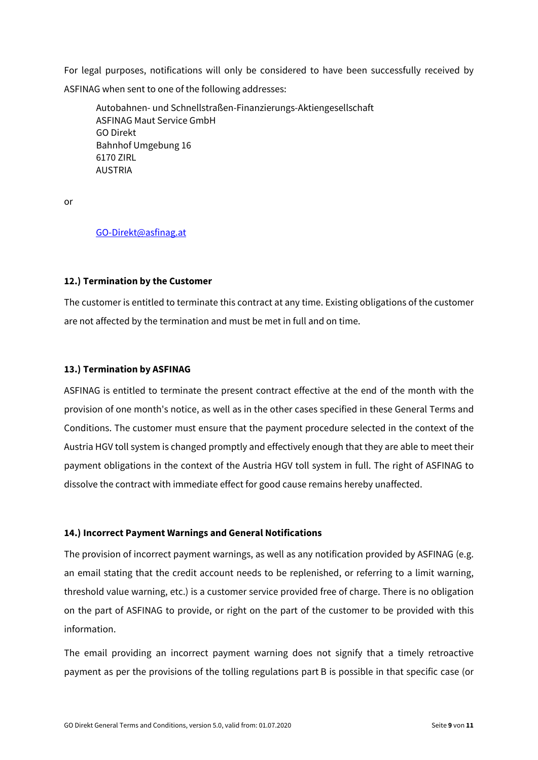For legal purposes, notifications will only be considered to have been successfully received by

ASFINAG when sent to one of the following addresses:

Autobahnen- und Schnellstraßen-Finanzierungs-Aktiengesellschaft ASFINAG Maut Service GmbH GO Direkt Bahnhof Umgebung 16 6170 ZIRL AUSTRIA

or

#### GO-Direkt@asfinag.at

#### **12.) Termination by the Customer**

The customer is entitled to terminate this contract at any time. Existing obligations of the customer are not affected by the termination and must be met in full and on time.

#### **13.) Termination by ASFINAG**

ASFINAG is entitled to terminate the present contract effective at the end of the month with the provision of one month's notice, as well as in the other cases specified in these General Terms and Conditions. The customer must ensure that the payment procedure selected in the context of the Austria HGV toll system is changed promptly and effectively enough that they are able to meet their payment obligations in the context of the Austria HGV toll system in full. The right of ASFINAG to dissolve the contract with immediate effect for good cause remains hereby unaffected.

#### **14.) Incorrect Payment Warnings and General Notifications**

The provision of incorrect payment warnings, as well as any notification provided by ASFINAG (e.g. an email stating that the credit account needs to be replenished, or referring to a limit warning, threshold value warning, etc.) is a customer service provided free of charge. There is no obligation on the part of ASFINAG to provide, or right on the part of the customer to be provided with this information.

The email providing an incorrect payment warning does not signify that a timely retroactive payment as per the provisions of the tolling regulations part B is possible in that specific case (or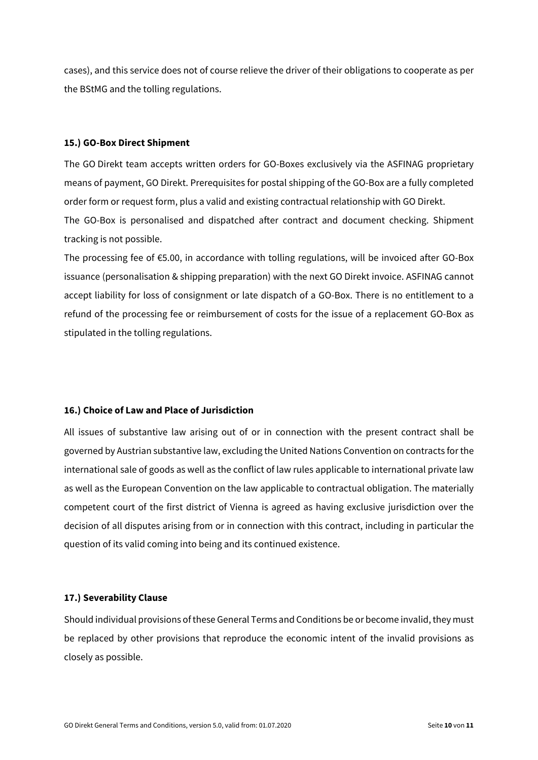cases), and this service does not of course relieve the driver of their obligations to cooperate as per the BStMG and the tolling regulations.

#### **15.) GO-Box Direct Shipment**

The GO Direkt team accepts written orders for GO-Boxes exclusively via the ASFINAG proprietary means of payment, GO Direkt. Prerequisites for postal shipping of the GO-Box are a fully completed order form or request form, plus a valid and existing contractual relationship with GO Direkt. The GO-Box is personalised and dispatched after contract and document checking. Shipment tracking is not possible.

The processing fee of €5.00, in accordance with tolling regulations, will be invoiced after GO-Box issuance (personalisation & shipping preparation) with the next GO Direkt invoice. ASFINAG cannot accept liability for loss of consignment or late dispatch of a GO-Box. There is no entitlement to a refund of the processing fee or reimbursement of costs for the issue of a replacement GO-Box as stipulated in the tolling regulations.

## **16.) Choice of Law and Place of Jurisdiction**

All issues of substantive law arising out of or in connection with the present contract shall be governed by Austrian substantive law, excluding the United Nations Convention on contracts for the international sale of goods as well as the conflict of law rules applicable to international private law as well as the European Convention on the law applicable to contractual obligation. The materially competent court of the first district of Vienna is agreed as having exclusive jurisdiction over the decision of all disputes arising from or in connection with this contract, including in particular the question of its valid coming into being and its continued existence.

#### **17.) Severability Clause**

Should individual provisions of these General Terms and Conditions be or become invalid, they must be replaced by other provisions that reproduce the economic intent of the invalid provisions as closely as possible.